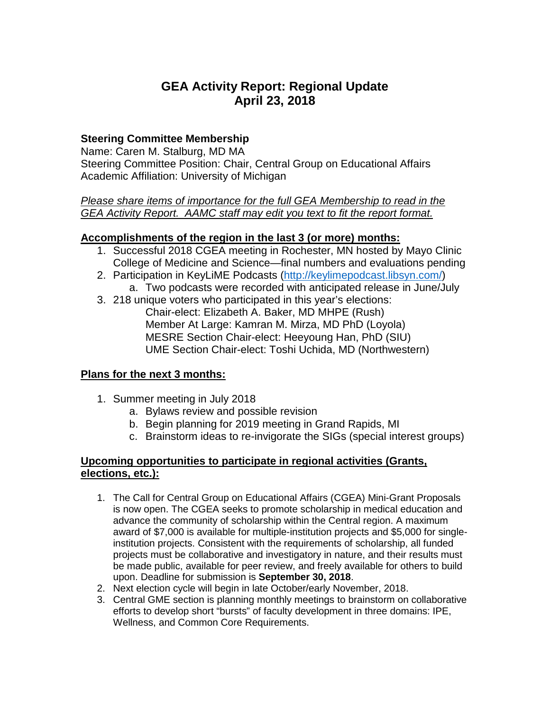# **GEA Activity Report: Regional Update April 23, 2018**

# **Steering Committee Membership**

Name: Caren M. Stalburg, MD MA Steering Committee Position: Chair, Central Group on Educational Affairs Academic Affiliation: University of Michigan

*Please share items of importance for the full GEA Membership to read in the GEA Activity Report. AAMC staff may edit you text to fit the report format.*

## **Accomplishments of the region in the last 3 (or more) months:**

- 1. Successful 2018 CGEA meeting in Rochester, MN hosted by Mayo Clinic College of Medicine and Science—final numbers and evaluations pending
- 2. Participation in KeyLiME Podcasts [\(http://keylimepodcast.libsyn.com/\)](http://keylimepodcast.libsyn.com/)
	- a. Two podcasts were recorded with anticipated release in June/July
- 3. 218 unique voters who participated in this year's elections: Chair-elect: Elizabeth A. Baker, MD MHPE (Rush) Member At Large: Kamran M. Mirza, MD PhD (Loyola) MESRE Section Chair-elect: Heeyoung Han, PhD (SIU) UME Section Chair-elect: Toshi Uchida, MD (Northwestern)

## **Plans for the next 3 months:**

- 1. Summer meeting in July 2018
	- a. Bylaws review and possible revision
	- b. Begin planning for 2019 meeting in Grand Rapids, MI
	- c. Brainstorm ideas to re-invigorate the SIGs (special interest groups)

## **Upcoming opportunities to participate in regional activities (Grants, elections, etc.):**

- 1. The Call for Central Group on Educational Affairs (CGEA) Mini-Grant Proposals is now open. The CGEA seeks to promote scholarship in medical education and advance the community of scholarship within the Central region. A maximum award of \$7,000 is available for multiple-institution projects and \$5,000 for singleinstitution projects. Consistent with the requirements of scholarship, all funded projects must be collaborative and investigatory in nature, and their results must be made public, available for peer review, and freely available for others to build upon. Deadline for submission is **September 30, 2018**.
- 2. Next election cycle will begin in late October/early November, 2018.
- 3. Central GME section is planning monthly meetings to brainstorm on collaborative efforts to develop short "bursts" of faculty development in three domains: IPE, Wellness, and Common Core Requirements.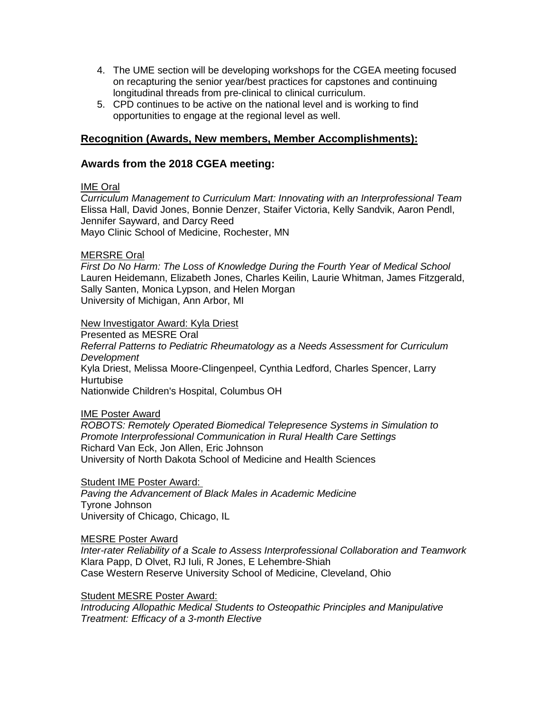- 4. The UME section will be developing workshops for the CGEA meeting focused on recapturing the senior year/best practices for capstones and continuing longitudinal threads from pre-clinical to clinical curriculum.
- 5. CPD continues to be active on the national level and is working to find opportunities to engage at the regional level as well.

## **Recognition (Awards, New members, Member Accomplishments):**

## **Awards from the 2018 CGEA meeting:**

#### IME Oral

*Curriculum Management to Curriculum Mart: Innovating with an Interprofessional Team*  Elissa Hall, David Jones, Bonnie Denzer, Staifer Victoria, Kelly Sandvik, Aaron Pendl, Jennifer Sayward, and Darcy Reed

Mayo Clinic School of Medicine, Rochester, MN

#### MERSRE Oral

*First Do No Harm: The Loss of Knowledge During the Fourth Year of Medical School* Lauren Heidemann, Elizabeth Jones, Charles Keilin, Laurie Whitman, James Fitzgerald, Sally Santen, Monica Lypson, and Helen Morgan University of Michigan, Ann Arbor, MI

#### New Investigator Award: Kyla Driest

Presented as MESRE Oral *Referral Patterns to Pediatric Rheumatology as a Needs Assessment for Curriculum Development* Kyla Driest, Melissa Moore-Clingenpeel, Cynthia Ledford, Charles Spencer, Larry Hurtubise Nationwide Children's Hospital, Columbus OH

IME Poster Award

*ROBOTS: Remotely Operated Biomedical Telepresence Systems in Simulation to Promote Interprofessional Communication in Rural Health Care Settings* Richard Van Eck, Jon Allen, Eric Johnson University of North Dakota School of Medicine and Health Sciences

Student IME Poster Award:

*Paving the Advancement of Black Males in Academic Medicine* Tyrone Johnson University of Chicago, Chicago, IL

#### MESRE Poster Award

*Inter-rater Reliability of a Scale to Assess Interprofessional Collaboration and Teamwork* Klara Papp, D Olvet, RJ Iuli, R Jones, E Lehembre-Shiah Case Western Reserve University School of Medicine, Cleveland, Ohio

Student MESRE Poster Award:

*Introducing Allopathic Medical Students to Osteopathic Principles and Manipulative Treatment: Efficacy of a 3-month Elective*